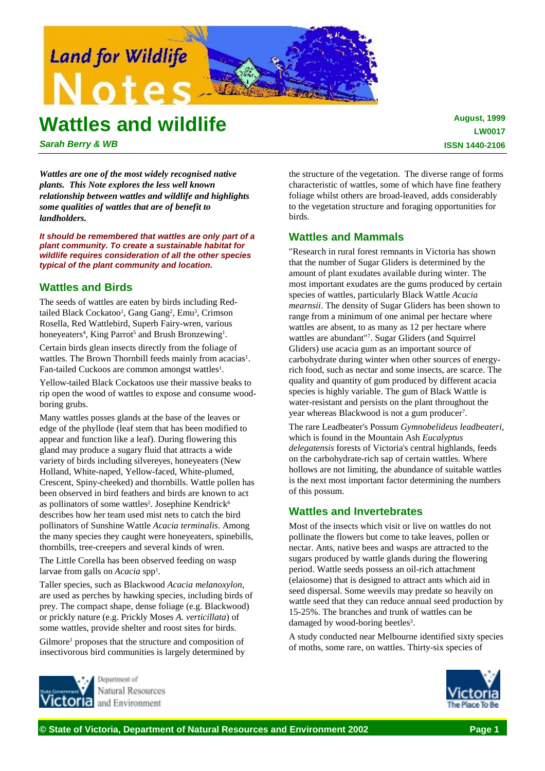

# **Wattles and wildlife**

**August, 1999 LW0017 ISSN 1440-2106**

*Sarah Berry & WB*

*Wattles are one of the most widely recognised native plants. This Note explores the less well known relationship between wattles and wildlife and highlights some qualities of wattles that are of benefit to landholders.*

*It should be remembered that wattles are only part of a plant community. To create a sustainable habitat for wildlife requires consideration of all the other species typical of the plant community and location.*

# **Wattles and Birds**

The seeds of wattles are eaten by birds including Redtailed Black Cockatoo<sup>1</sup>, Gang Gang<sup>2</sup>, Emu<sup>3</sup>, Crimson Rosella, Red Wattlebird, Superb Fairy-wren, various honeyeaters<sup>4</sup>, King Parrot<sup>5</sup> and Brush Bronzewing<sup>1</sup>.

Certain birds glean insects directly from the foliage of wattles. The Brown Thornbill feeds mainly from acacias<sup>1</sup>. Fan-tailed Cuckoos are common amongst wattles<sup>1</sup>.

Yellow-tailed Black Cockatoos use their massive beaks to rip open the wood of wattles to expose and consume woodboring grubs.

Many wattles posses glands at the base of the leaves or edge of the phyllode (leaf stem that has been modified to appear and function like a leaf). During flowering this gland may produce a sugary fluid that attracts a wide variety of birds including silvereyes, honeyeaters (New Holland, White-naped, Yellow-faced, White-plumed, Crescent, Spiny-cheeked) and thornbills. Wattle pollen has been observed in bird feathers and birds are known to act as pollinators of some wattles<sup>2</sup>. Josephine Kendrick<sup>6</sup> describes how her team used mist nets to catch the bird pollinators of Sunshine Wattle *Acacia terminalis*. Among the many species they caught were honeyeaters, spinebills, thornbills, tree-creepers and several kinds of wren.

The Little Corella has been observed feeding on wasp larvae from galls on *Acacia* spp1.

Taller species, such as Blackwood *Acacia melanoxylon*, are used as perches by hawking species, including birds of prey. The compact shape, dense foliage (e.g. Blackwood) or prickly nature (e.g. Prickly Moses *A. verticillata*) of some wattles, provide shelter and roost sites for birds.

Gilmore<sup>1</sup> proposes that the structure and composition of insectivorous bird communities is largely determined by



Natural Resources and Environment

the structure of the vegetation. The diverse range of forms characteristic of wattles, some of which have fine feathery foliage whilst others are broad-leaved, adds considerably to the vegetation structure and foraging opportunities for birds.

# **Wattles and Mammals**

"Research in rural forest remnants in Victoria has shown that the number of Sugar Gliders is determined by the amount of plant exudates available during winter. The most important exudates are the gums produced by certain species of wattles, particularly Black Wattle *Acacia mearnsii*. The density of Sugar Gliders has been shown to range from a minimum of one animal per hectare where wattles are absent, to as many as 12 per hectare where wattles are abundant"7. Sugar Gliders (and Squirrel Gliders) use acacia gum as an important source of carbohydrate during winter when other sources of energyrich food, such as nectar and some insects, are scarce. The quality and quantity of gum produced by different acacia species is highly variable. The gum of Black Wattle is water-resistant and persists on the plant throughout the year whereas Blackwood is not a gum producer<sup>7</sup>.

The rare Leadbeater's Possum *Gymnobelideus leadbeateri*, which is found in the Mountain Ash *Eucalyptus delegatensis* forests of Victoria's central highlands, feeds on the carbohydrate-rich sap of certain wattles. Where hollows are not limiting, the abundance of suitable wattles is the next most important factor determining the numbers of this possum.

# **Wattles and Invertebrates**

Most of the insects which visit or live on wattles do not pollinate the flowers but come to take leaves, pollen or nectar. Ants, native bees and wasps are attracted to the sugars produced by wattle glands during the flowering period. Wattle seeds possess an oil-rich attachment (elaiosome) that is designed to attract ants which aid in seed dispersal. Some weevils may predate so heavily on wattle seed that they can reduce annual seed production by 15-25%. The branches and trunk of wattles can be damaged by wood-boring beetles<sup>3</sup>.

A study conducted near Melbourne identified sixty species of moths, some rare, on wattles. Thirty-six species of

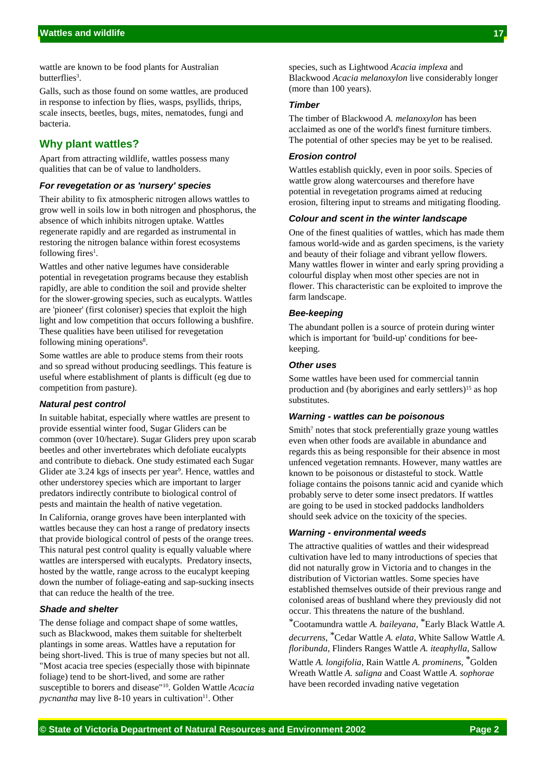wattle are known to be food plants for Australian butterflies3.

Galls, such as those found on some wattles, are produced in response to infection by flies, wasps, psyllids, thrips, scale insects, beetles, bugs, mites, nematodes, fungi and bacteria.

# **Why plant wattles?**

Apart from attracting wildlife, wattles possess many qualities that can be of value to landholders.

## *For revegetation or as 'nursery' species*

Their ability to fix atmospheric nitrogen allows wattles to grow well in soils low in both nitrogen and phosphorus, the absence of which inhibits nitrogen uptake. Wattles regenerate rapidly and are regarded as instrumental in restoring the nitrogen balance within forest ecosystems following fires<sup>1</sup>.

Wattles and other native legumes have considerable potential in revegetation programs because they establish rapidly, are able to condition the soil and provide shelter for the slower-growing species, such as eucalypts. Wattles are 'pioneer' (first coloniser) species that exploit the high light and low competition that occurs following a bushfire. These qualities have been utilised for revegetation following mining operations<sup>8</sup>.

Some wattles are able to produce stems from their roots and so spread without producing seedlings. This feature is useful where establishment of plants is difficult (eg due to competition from pasture).

## *Natural pest control*

In suitable habitat, especially where wattles are present to provide essential winter food, Sugar Gliders can be common (over 10/hectare). Sugar Gliders prey upon scarab beetles and other invertebrates which defoliate eucalypts and contribute to dieback. One study estimated each Sugar Glider ate 3.24 kgs of insects per year<sup>9</sup>. Hence, wattles and other understorey species which are important to larger predators indirectly contribute to biological control of pests and maintain the health of native vegetation.

In California, orange groves have been interplanted with wattles because they can host a range of predatory insects that provide biological control of pests of the orange trees. This natural pest control quality is equally valuable where wattles are interspersed with eucalypts. Predatory insects, hosted by the wattle, range across to the eucalypt keeping down the number of foliage-eating and sap-sucking insects that can reduce the health of the tree.

## *Shade and shelter*

The dense foliage and compact shape of some wattles, such as Blackwood, makes them suitable for shelterbelt plantings in some areas. Wattles have a reputation for being short-lived. This is true of many species but not all. "Most acacia tree species (especially those with bipinnate foliage) tend to be short-lived, and some are rather susceptible to borers and disease"10. Golden Wattle *Acacia pycnantha* may live 8-10 years in cultivation<sup>11</sup>. Other

species, such as Lightwood *Acacia implexa* and Blackwood *Acacia melanoxylon* live considerably longer (more than 100 years).

#### *Timber*

The timber of Blackwood *A. melanoxylon* has been acclaimed as one of the world's finest furniture timbers. The potential of other species may be yet to be realised.

#### *Erosion control*

Wattles establish quickly, even in poor soils. Species of wattle grow along watercourses and therefore have potential in revegetation programs aimed at reducing erosion, filtering input to streams and mitigating flooding.

## *Colour and scent in the winter landscape*

One of the finest qualities of wattles, which has made them famous world-wide and as garden specimens, is the variety and beauty of their foliage and vibrant yellow flowers. Many wattles flower in winter and early spring providing a colourful display when most other species are not in flower. This characteristic can be exploited to improve the farm landscape.

#### *Bee-keeping*

The abundant pollen is a source of protein during winter which is important for 'build-up' conditions for beekeeping.

#### *Other uses*

Some wattles have been used for commercial tannin production and (by aborigines and early settlers)<sup>15</sup> as hop substitutes.

## *Warning - wattles can be poisonous*

Smith<sup>7</sup> notes that stock preferentially graze young wattles even when other foods are available in abundance and regards this as being responsible for their absence in most unfenced vegetation remnants. However, many wattles are known to be poisonous or distasteful to stock. Wattle foliage contains the poisons tannic acid and cyanide which probably serve to deter some insect predators. If wattles are going to be used in stocked paddocks landholders should seek advice on the toxicity of the species.

#### *Warning - environmental weeds*

The attractive qualities of wattles and their widespread cultivation have led to many introductions of species that did not naturally grow in Victoria and to changes in the distribution of Victorian wattles. Some species have established themselves outside of their previous range and colonised areas of bushland where they previously did not occur. This threatens the nature of the bushland.

\*Cootamundra wattle *A. baileyana*, \*Early Black Wattle *A. decurrens*, \*Cedar Wattle *A. elata*, White Sallow Wattle *A.*

*floribunda*, Flinders Ranges Wattle *A. iteaphylla*, Sallow

Wattle *A. longifolia*, Rain Wattle *A. prominens*, \*Golden Wreath Wattle *A. saligna* and Coast Wattle *A. sophorae* have been recorded invading native vegetation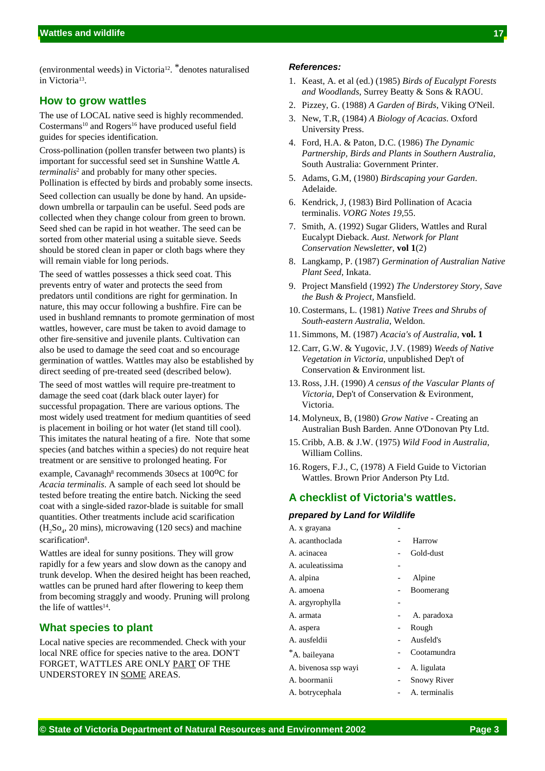(environmental weeds) in Victoria12. \*denotes naturalised in Victoria13.

# **How to grow wattles**

The use of LOCAL native seed is highly recommended. Costermans<sup>10</sup> and Rogers<sup>16</sup> have produced useful field guides for species identification.

Cross-pollination (pollen transfer between two plants) is important for successful seed set in Sunshine Wattle *A. terminalis*2 and probably for many other species. Pollination is effected by birds and probably some insects.

Seed collection can usually be done by hand. An upsidedown umbrella or tarpaulin can be useful. Seed pods are collected when they change colour from green to brown. Seed shed can be rapid in hot weather. The seed can be sorted from other material using a suitable sieve. Seeds should be stored clean in paper or cloth bags where they will remain viable for long periods.

The seed of wattles possesses a thick seed coat. This prevents entry of water and protects the seed from predators until conditions are right for germination. In nature, this may occur following a bushfire. Fire can be used in bushland remnants to promote germination of most wattles, however, care must be taken to avoid damage to other fire-sensitive and juvenile plants. Cultivation can also be used to damage the seed coat and so encourage germination of wattles. Wattles may also be established by direct seeding of pre-treated seed (described below).

The seed of most wattles will require pre-treatment to damage the seed coat (dark black outer layer) for successful propagation. There are various options. The most widely used treatment for medium quantities of seed is placement in boiling or hot water (let stand till cool). This imitates the natural heating of a fire. Note that some species (and batches within a species) do not require heat treatment or are sensitive to prolonged heating. For

example, Cavanagh<sup>8</sup> recommends 30secs at 100<sup>o</sup>C for *Acacia terminalis*. A sample of each seed lot should be tested before treating the entire batch. Nicking the seed coat with a single-sided razor-blade is suitable for small quantities. Other treatments include acid scarification  $(H_2$ So<sub>4</sub>, 20 mins), microwaving (120 secs) and machine scarification<sup>8</sup>.

Wattles are ideal for sunny positions. They will grow rapidly for a few years and slow down as the canopy and trunk develop. When the desired height has been reached, wattles can be pruned hard after flowering to keep them from becoming straggly and woody. Pruning will prolong the life of wattles<sup>14</sup>.

# **What species to plant**

Local native species are recommended. Check with your local NRE office for species native to the area. DON'T FORGET, WATTLES ARE ONLY PART OF THE UNDERSTOREY IN SOME AREAS.

#### *References:*

- 1. Keast, A. et al (ed.) (1985) *Birds of Eucalypt Forests and Woodlands*, Surrey Beatty & Sons & RAOU.
- 2. Pizzey, G. (1988) *A Garden of Birds*, Viking O'Neil.
- 3. New, T.R, (1984) *A Biology of Acacias*. Oxford University Press.
- 4. Ford, H.A. & Paton, D.C. (1986) *The Dynamic Partnership, Birds and Plants in Southern Australia*, South Australia: Government Printer.
- 5. Adams, G.M, (1980) *Birdscaping your Garden*. Adelaide.
- 6. Kendrick, J, (1983) Bird Pollination of Acacia terminalis. *VORG Notes 19*,55.
- 7. Smith, A. (1992) Sugar Gliders, Wattles and Rural Eucalypt Dieback. *Aust. Network for Plant Conservation Newsletter*, **vol 1**(2)
- 8. Langkamp, P. (1987) *Germination of Australian Native Plant Seed*, Inkata.
- 9. Project Mansfield (1992) *The Understorey Story, Save the Bush & Project,* Mansfield.
- 10.Costermans, L. (1981) *Native Trees and Shrubs of South-eastern Australia*, Weldon.
- 11. Simmons, M. (1987) *Acacia's of Australia*, **vol. 1**
- 12.Carr, G.W. & Yugovic, J.V. (1989) *Weeds of Native Vegetation in Victoria*, unpublished Dep't of Conservation & Environment list.
- 13.Ross, J.H. (1990) *A census of the Vascular Plants of Victoria*, Dep't of Conservation & Evironment, Victoria.
- 14. Molyneux, B, (1980) *Grow Native* Creating an Australian Bush Barden. Anne O'Donovan Pty Ltd.
- 15.Cribb, A.B. & J.W. (1975) *Wild Food in Australia*, William Collins.
- 16.Rogers, F.J., C, (1978) A Field Guide to Victorian Wattles. Brown Prior Anderson Pty Ltd.

# **A checklist of Victoria's wattles.**

#### *prepared by Land for Wildlife*

| A. x grayana         |                    |
|----------------------|--------------------|
| A. acanthoclada      | Harrow             |
| A acinacea           | Gold-dust          |
| A. aculeatissima     |                    |
| A. alpina            | Alpine             |
| A. amoena            | Boomerang          |
| A. argyrophylla      |                    |
| A. armata            | A. paradoxa        |
| A. aspera            | Rough              |
| A. ausfeldii         | Ausfeld's          |
| *A. baileyana        | Cootamundra        |
| A. bivenosa ssp wayi | A. ligulata        |
| A. boormanii         | <b>Snowy River</b> |
| A. botrycephala      | A. terminalis      |
|                      |                    |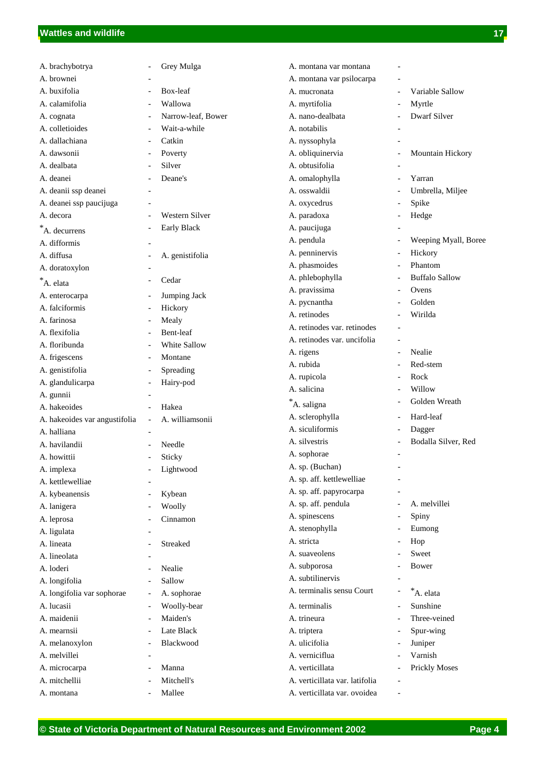| A. brachybotrya                  |                                                      | Grey Mulga              | A. montana var montana         |                          |                       |
|----------------------------------|------------------------------------------------------|-------------------------|--------------------------------|--------------------------|-----------------------|
| A. brownei                       |                                                      |                         | A. montana var psilocarpa      |                          |                       |
| A. buxifolia                     |                                                      | Box-leaf                | A. mucronata                   |                          | Variable Sallow       |
| A. calamifolia                   | ٠                                                    | Wallowa                 | A. myrtifolia                  | $\overline{a}$           | Myrtle                |
| A. cognata                       |                                                      | Narrow-leaf, Bower      | A. nano-dealbata               | $\overline{a}$           | Dwarf Silver          |
| A. colletioides                  | $\overline{\phantom{a}}$                             | Wait-a-while            | A. notabilis                   | $\overline{\phantom{a}}$ |                       |
| A. dallachiana                   | $\overline{\phantom{a}}$                             | Catkin                  | A. nyssophyla                  |                          |                       |
| A. dawsonii                      | $\overline{\phantom{a}}$                             | Poverty                 | A. obliquinervia               | $\qquad \qquad -$        | Mountain Hickory      |
| A. dealbata                      | $\overline{\phantom{a}}$                             | Silver                  | A. obtusifolia                 |                          |                       |
| A. deanei                        |                                                      | Deane's                 | A. omalophylla                 | $\overline{\phantom{a}}$ | Yarran                |
| A. deanii ssp deanei             |                                                      |                         | A. osswaldii                   |                          | Umbrella, Miljee      |
| A. deanei ssp paucijuga          |                                                      |                         | A. oxycedrus                   | $\overline{a}$           | Spike                 |
| A. decora                        |                                                      | Western Silver          | A. paradoxa                    | $\overline{\phantom{0}}$ | Hedge                 |
| $*A.$ decurrens                  | ÷,                                                   | <b>Early Black</b>      | A. paucijuga                   |                          |                       |
| A. difformis                     |                                                      |                         | A. pendula                     |                          | Weeping Myall, Boree  |
| A. diffusa                       |                                                      | A. genistifolia         | A. penninervis                 |                          | Hickory               |
| A. doratoxylon                   |                                                      |                         | A. phasmoides                  |                          | Phantom               |
| $^*A.$ elata                     |                                                      | Cedar                   | A. phlebophylla                |                          | <b>Buffalo Sallow</b> |
|                                  |                                                      |                         | A. pravissima                  |                          | Ovens                 |
| A. enterocarpa<br>A. falciformis | $\overline{\phantom{a}}$                             | Jumping Jack<br>Hickory | A. pycnantha                   |                          | Golden                |
| A. farinosa                      |                                                      | Mealy                   | A. retinodes                   |                          | Wirilda               |
| A. flexifolia                    | $\overline{\phantom{a}}$                             | Bent-leaf               | A. retinodes var. retinodes    | $\overline{a}$           |                       |
| A. floribunda                    | $\overline{\phantom{a}}$                             | White Sallow            | A. retinodes var. uncifolia    | $\overline{a}$           |                       |
|                                  |                                                      | Montane                 | A. rigens                      | $\overline{\phantom{a}}$ | Nealie                |
| A. frigescens<br>A. genistifolia |                                                      | Spreading               | A. rubida                      | $\overline{a}$           | Red-stem              |
| A. glandulicarpa                 | $\overline{\phantom{a}}$<br>$\overline{\phantom{a}}$ | Hairy-pod               | A. rupicola                    |                          | Rock                  |
| A. gunnii                        |                                                      |                         | A. salicina                    | $\overline{a}$           | Willow                |
| A. hakeoides                     | $\overline{\phantom{a}}$                             | Hakea                   | *A. saligna                    | $\overline{a}$           | Golden Wreath         |
| A. hakeoides var angustifolia    | $\overline{\phantom{a}}$                             | A. williamsonii         | A. sclerophylla                | $\overline{\phantom{a}}$ | Hard-leaf             |
| A. halliana                      |                                                      |                         | A. siculiformis                |                          | Dagger                |
| A. havilandii                    |                                                      | Needle                  | A. silvestris                  |                          | Bodalla Silver, Red   |
| A. howittii                      |                                                      | Sticky                  | A. sophorae                    |                          |                       |
| A. implexa                       |                                                      | Lightwood               | A. sp. (Buchan)                |                          |                       |
| A. kettlewelliae                 |                                                      |                         | A. sp. aff. kettlewelliae      |                          |                       |
| A. kybeanensis                   | $\overline{\phantom{a}}$                             | Kybean                  | A. sp. aff. papyrocarpa        |                          |                       |
| A. lanigera                      |                                                      | Woolly                  | A. sp. aff. pendula            | $\overline{a}$           | A. melvillei          |
| A. leprosa                       |                                                      | Cinnamon                | A. spinescens                  | $\overline{a}$           | Spiny                 |
| A. ligulata                      |                                                      |                         | A. stenophylla                 |                          | Eumong                |
| A. lineata                       |                                                      | Streaked                | A. stricta                     | $\overline{a}$           | Hop                   |
| A. lineolata                     |                                                      |                         | A. suaveolens                  |                          | Sweet                 |
| A. loderi                        |                                                      | Nealie                  | A. subporosa                   |                          | <b>Bower</b>          |
| A. longifolia                    |                                                      | Sallow                  | A. subtilinervis               |                          |                       |
| A. longifolia var sophorae       | $\overline{\phantom{a}}$                             | A. sophorae             | A. terminalis sensu Court      |                          | *A. elata             |
| A. lucasii                       | $\overline{\phantom{a}}$                             | Woolly-bear             | A. terminalis                  |                          | Sunshine              |
| A. maidenii                      | $\overline{\phantom{a}}$                             | Maiden's                | A. trineura                    |                          | Three-veined          |
| A. mearnsii                      | $\overline{\phantom{a}}$                             | Late Black              | A. triptera                    | $\overline{a}$           | Spur-wing             |
| A. melanoxylon                   | $\overline{\phantom{a}}$                             | Blackwood               | A. ulicifolia                  | $\overline{a}$           | Juniper               |
| A. melvillei                     |                                                      |                         | A. verniciflua                 |                          | Varnish               |
| A. microcarpa                    |                                                      | Manna                   | A. verticillata                |                          | <b>Prickly Moses</b>  |
| A. mitchellii                    |                                                      | Mitchell's              | A. verticillata var. latifolia |                          |                       |
| A. montana                       | $\overline{\phantom{a}}$                             | Mallee                  | A. verticillata var. ovoidea   | $\overline{\phantom{0}}$ |                       |
|                                  |                                                      |                         |                                |                          |                       |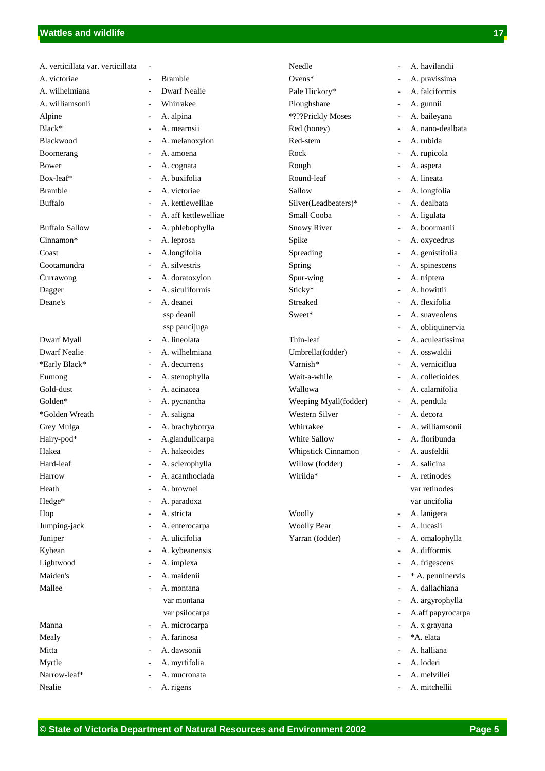| A. verticillata var. verticillata |                                                  | Needle                |
|-----------------------------------|--------------------------------------------------|-----------------------|
| A. victoriae                      | <b>Bramble</b><br>$\overline{\phantom{0}}$       | Ovens $*$             |
| A. wilhelmiana                    | <b>Dwarf Nealie</b>                              | Pale Hickory*         |
| A. williamsonii                   | Whirrakee                                        | Ploughshare           |
| Alpine                            | A. alpina                                        | *???Prickly Moses     |
| Black*                            | A. mearnsii<br>$\overline{\phantom{0}}$          | Red (honey)           |
| Blackwood                         | A. melanoxylon                                   | Red-stem              |
| Boomerang                         | A. amoena<br>$\overline{a}$                      | Rock                  |
| Bower                             | A. cognata<br>-                                  | Rough                 |
| Box-leaf*                         | A. buxifolia<br>$\overline{\phantom{0}}$         | Round-leaf            |
| <b>Bramble</b>                    | A. victoriae                                     | Sallow                |
| <b>Buffalo</b>                    | A. kettlewelliae<br>$\overline{a}$               | Silver(Leadbeaters)*  |
|                                   | A. aff kettlewelliae<br>$\overline{\phantom{0}}$ | Small Cooba           |
| <b>Buffalo Sallow</b>             | A. phlebophylla<br>$\overline{\phantom{0}}$      | <b>Snowy River</b>    |
| Cinnamon*                         | A. leprosa<br>$\overline{\phantom{0}}$           | Spike                 |
| Coast                             | A.longifolia<br>$\overline{\phantom{0}}$         | Spreading             |
| Cootamundra                       | A. silvestris<br>$\overline{\phantom{0}}$        | Spring                |
| Currawong                         | A. doratoxylon<br>$\overline{\phantom{0}}$       | Spur-wing             |
| Dagger                            | A. siculiformis                                  | Sticky*               |
| Deane's                           | A. deanei                                        | <b>Streaked</b>       |
|                                   | ssp deanii                                       | Sweet*                |
|                                   | ssp paucijuga                                    |                       |
| Dwarf Myall                       | A. lineolata                                     | Thin-leaf             |
| <b>Dwarf Nealie</b>               | A. wilhelmiana<br>$\overline{\phantom{0}}$       | Umbrella(fodder)      |
| *Early Black*                     | A. decurrens<br>$\overline{\phantom{0}}$         | Varnish*              |
| Eumong                            | A. stenophylla                                   | Wait-a-while          |
| Gold-dust                         | A. acinacea                                      | Wallowa               |
| Golden*                           | A. pycnantha<br>$\overline{\phantom{0}}$         | Weeping Myall(fodder) |
| *Golden Wreath                    | A. saligna<br>$\overline{\phantom{0}}$           | Western Silver        |
| Grey Mulga                        | A. brachybotrya<br>$\overline{\phantom{0}}$      | Whirrakee             |
| Hairy-pod*                        | A.glandulicarpa<br>$\overline{\phantom{0}}$      | White Sallow          |
| Hakea                             | A. hakeoides                                     | Whipstick Cinnamon    |
| Hard-leaf                         | A. sclerophylla<br>۰.                            | Willow (fodder)       |
| Harrow                            | A. acanthoclada                                  | Wirilda*              |
| Heath                             | A. brownei                                       |                       |
| Hedge*                            | A. paradoxa<br>-                                 |                       |
| Hop                               | A. stricta<br>$\overline{\phantom{0}}$           | Woolly                |
| Jumping-jack                      | A. enterocarpa                                   | <b>Woolly Bear</b>    |
| Juniper                           | A. ulicifolia                                    | Yarran (fodder)       |
| Kybean                            | A. kybeanensis                                   |                       |
| Lightwood                         | A. implexa                                       |                       |
| Maiden's                          | A. maidenii                                      |                       |
| Mallee                            | A. montana                                       |                       |
|                                   | var montana                                      |                       |
|                                   | var psilocarpa                                   |                       |
| Manna                             | A. microcarpa<br>-                               |                       |
| Mealy                             | A. farinosa                                      |                       |
| Mitta                             | A. dawsonii                                      |                       |
| Myrtle                            | A. myrtifolia                                    |                       |
| Narrow-leaf*                      | A. mucronata                                     |                       |
| Nealie                            | A. rigens<br>$\overline{\phantom{0}}$            |                       |
|                                   |                                                  |                       |

| Needle                |   | A. havilandii     |
|-----------------------|---|-------------------|
| $Ovens*$              |   | A. pravissima     |
| Pale Hickory*         |   | A. falciformis    |
| Ploughshare           |   | A. gunnii         |
| *???Prickly Moses     |   | A. baileyana      |
| Red (honey)           |   | A. nano-dealbata  |
| Red-stem              |   | A. rubida         |
| Rock                  |   | A. rupicola       |
| Rough                 |   | A. aspera         |
| Round-leaf            |   | A. lineata        |
| Sallow                |   | A. longfolia      |
| Silver(Leadbeaters)*  |   | A. dealbata       |
| Small Cooba           |   | A. ligulata       |
| <b>Snowy River</b>    |   | A. boormanii      |
| Spike                 | - | A. oxycedrus      |
| Spreading             |   | A. genistifolia   |
| Spring                |   | A. spinescens     |
| Spur-wing             |   | A. triptera       |
| Sticky*               |   | A. howittii       |
| Streaked              |   | A. flexifolia     |
| Sweet*                |   | A. suaveolens     |
|                       |   | A. obliquinervia  |
| Thin-leaf             |   | A. aculeatissima  |
| Umbrella(fodder)      |   | A. osswaldii      |
| Varnish*              |   | A. verniciflua    |
| Wait-a-while          |   | A. colletioides   |
|                       |   | A. calamifolia    |
| Wallowa               |   |                   |
| Weeping Myall(fodder) |   | A. pendula        |
| Western Silver        |   | A. decora         |
| Whirrakee             |   | A. williamsonii   |
| White Sallow          |   | A. floribunda     |
| Whipstick Cinnamon    |   | A. ausfeldii      |
| Willow (fodder)       |   | A. salicina       |
| Wirilda*              |   | A. retinodes      |
|                       |   | var retinodes     |
|                       |   | var uncifolia     |
| Woolly                |   | A. lanigera       |
| <b>Woolly Bear</b>    |   | A. lucasii        |
| Yarran (fodder)       |   | A. omalophylla    |
|                       |   | A. difformis      |
|                       |   | A. frigescens     |
|                       |   | * A. penninervis  |
|                       |   | A. dallachiana    |
|                       |   | A. argyrophylla   |
|                       |   | A.aff papyrocarpa |
|                       |   | A. x grayana      |
|                       |   | *A. elata         |
|                       |   | A. halliana       |
|                       |   | A. loderi         |
|                       |   | A. melvillei      |
|                       |   | A. mitchellii     |